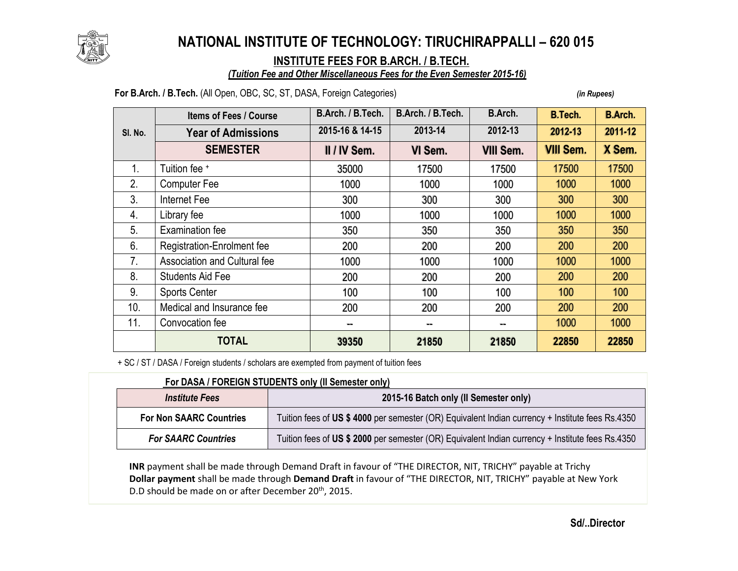

# **NATIONAL INSTITUTE OF TECHNOLOGY: TIRUCHIRAPPALLI – 620 015**

### **INSTITUTE FEES FOR B.ARCH. / B.TECH.**

#### *(Tuition Fee and Other Miscellaneous Fees for the Even Semester 2015-16)*

#### **For B.Arch. / B.Tech.** (All Open, OBC, SC, ST, DASA, Foreign Categories) *(in Rupees)*

|                | <b>Items of Fees / Course</b> | B.Arch. / B.Tech. | B.Arch. / B.Tech. | B.Arch.          | <b>B.Tech.</b>   | <b>B.Arch.</b> |
|----------------|-------------------------------|-------------------|-------------------|------------------|------------------|----------------|
| SI. No.        | <b>Year of Admissions</b>     | 2015-16 & 14-15   | 2013-14           | 2012-13          | 2012-13          | 2011-12        |
|                | <b>SEMESTER</b>               | II / IV Sem.      | VI Sem.           | <b>VIII Sem.</b> | <b>VIII Sem.</b> | X Sem.         |
| 1.             | Tuition fee +                 | 35000             | 17500             | 17500            | 17500            | 17500          |
| 2.             | <b>Computer Fee</b>           | 1000              | 1000              | 1000             | 1000             | 1000           |
| 3.             | Internet Fee                  | 300               | 300               | 300              | 300              | 300            |
| 4.             | Library fee                   | 1000              | 1000              | 1000             | 1000             | 1000           |
| 5 <sub>1</sub> | <b>Examination fee</b>        | 350               | 350               | 350              | 350              | 350            |
| 6.             | Registration-Enrolment fee    | 200               | 200               | 200              | 200              | 200            |
| 7.             | Association and Cultural fee  | 1000              | 1000              | 1000             | 1000             | 1000           |
| 8.             | <b>Students Aid Fee</b>       | 200               | 200               | 200              | 200              | 200            |
| 9.             | <b>Sports Center</b>          | 100               | 100               | 100              | 100              | 100            |
| 10.            | Medical and Insurance fee     | 200               | 200               | 200              | 200              | 200            |
| 11.            | Convocation fee               | --                | $\sim$            | w.               | 1000             | 1000           |
|                | <b>TOTAL</b>                  | 39350             | 21850             | 21850            | 22850            | 22850          |

+ SC / ST / DASA / Foreign students / scholars are exempted from payment of tuition fees

| For DASA / FOREIGN STUDENTS only (II Semester only) |                                                                                                  |  |  |  |
|-----------------------------------------------------|--------------------------------------------------------------------------------------------------|--|--|--|
| <i><b>Institute Fees</b></i>                        | 2015-16 Batch only (II Semester only)                                                            |  |  |  |
| <b>For Non SAARC Countries</b>                      | Tuition fees of US \$4000 per semester (OR) Equivalent Indian currency + Institute fees Rs.4350  |  |  |  |
| <b>For SAARC Countries</b>                          | Tuition fees of US \$ 2000 per semester (OR) Equivalent Indian currency + Institute fees Rs.4350 |  |  |  |

**INR** payment shall be made through Demand Draft in favour of "THE DIRECTOR, NIT, TRICHY" payable at Trichy **Dollar payment** shall be made through **Demand Draft** in favour of "THE DIRECTOR, NIT, TRICHY" payable at New York D.D should be made on or after December 20<sup>th</sup>, 2015.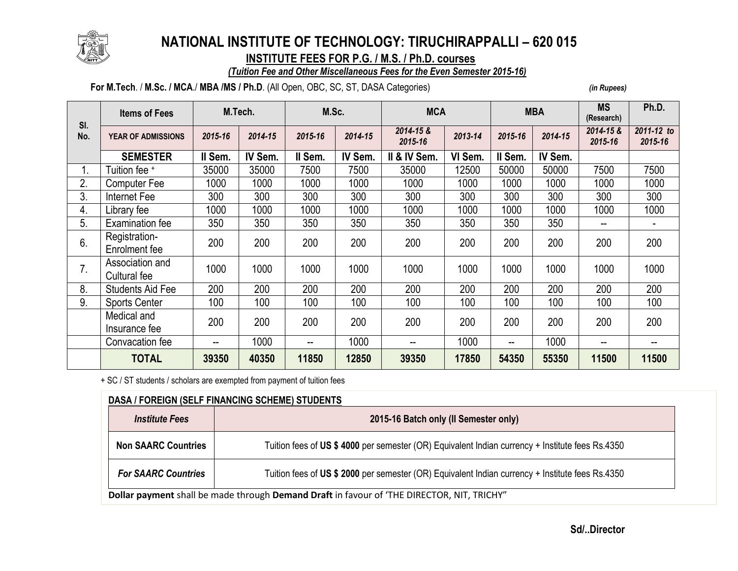

## **NATIONAL INSTITUTE OF TECHNOLOGY: TIRUCHIRAPPALLI – 620 015**

 **INSTITUTE FEES FOR P.G. / M.S. / Ph.D. courses**

#### *(Tuition Fee and Other Miscellaneous Fees for the Even Semester 2015-16)*

#### **For M.Tech**. / **M.Sc. / MCA**./ **MBA /MS / Ph.D**. (All Open, OBC, SC, ST, DASA Categories) *(in Rupees)*

| SI.<br>No. | <b>Items of Fees</b>            | M.Tech. |         | M.Sc.<br><b>MCA</b>      |         |                      | <b>MBA</b> |         | <b>MS</b><br>(Research) | Ph.D.                |                       |
|------------|---------------------------------|---------|---------|--------------------------|---------|----------------------|------------|---------|-------------------------|----------------------|-----------------------|
|            | <b>YEAR OF ADMISSIONS</b>       | 2015-16 | 2014-15 | 2015-16                  | 2014-15 | 2014-15 &<br>2015-16 | 2013-14    | 2015-16 | 2014-15                 | 2014-15 &<br>2015-16 | 2011-12 to<br>2015-16 |
|            | <b>SEMESTER</b>                 | II Sem. | IV Sem. | Il Sem.                  | IV Sem. | II & IV Sem.         | VI Sem.    | II Sem. | IV Sem.                 |                      |                       |
|            | Tuition fee +                   | 35000   | 35000   | 7500                     | 7500    | 35000                | 12500      | 50000   | 50000                   | 7500                 | 7500                  |
| 2.         | Computer Fee                    | 1000    | 1000    | 1000                     | 1000    | 1000                 | 1000       | 1000    | 1000                    | 1000                 | 1000                  |
| 3.         | Internet Fee                    | 300     | 300     | 300                      | 300     | 300                  | 300        | 300     | 300                     | 300                  | 300                   |
| 4.         | Library fee                     | 1000    | 1000    | 1000                     | 1000    | 1000                 | 1000       | 1000    | 1000                    | 1000                 | 1000                  |
| 5.         | <b>Examination fee</b>          | 350     | 350     | 350                      | 350     | 350                  | 350        | 350     | 350                     | $\sim$               |                       |
| 6.         | Registration-<br>Enrolment fee  | 200     | 200     | 200                      | 200     | 200                  | 200        | 200     | 200                     | 200                  | 200                   |
| 7.         | Association and<br>Cultural fee | 1000    | 1000    | 1000                     | 1000    | 1000                 | 1000       | 1000    | 1000                    | 1000                 | 1000                  |
| 8.         | <b>Students Aid Fee</b>         | 200     | 200     | 200                      | 200     | 200                  | 200        | 200     | 200                     | 200                  | 200                   |
| 9.         | <b>Sports Center</b>            | 100     | 100     | 100                      | 100     | 100                  | 100        | 100     | 100                     | 100                  | 100                   |
|            | Medical and<br>Insurance fee    | 200     | 200     | 200                      | 200     | 200                  | 200        | 200     | 200                     | 200                  | 200                   |
|            | Convacation fee                 | --      | 1000    | $\overline{\phantom{a}}$ | 1000    | --                   | 1000       | --      | 1000                    | $\sim$               | --                    |
|            | <b>TOTAL</b>                    | 39350   | 40350   | 11850                    | 12850   | 39350                | 17850      | 54350   | 55350                   | 11500                | 11500                 |

+ SC / ST students / scholars are exempted from payment of tuition fees

| <b>Institute Fees</b>      | 2015-16 Batch only (II Semester only)                                                            |
|----------------------------|--------------------------------------------------------------------------------------------------|
| <b>Non SAARC Countries</b> | Tuition fees of US \$4000 per semester (OR) Equivalent Indian currency + Institute fees Rs.4350  |
| <b>For SAARC Countries</b> | Tuition fees of US \$ 2000 per semester (OR) Equivalent Indian currency + Institute fees Rs.4350 |